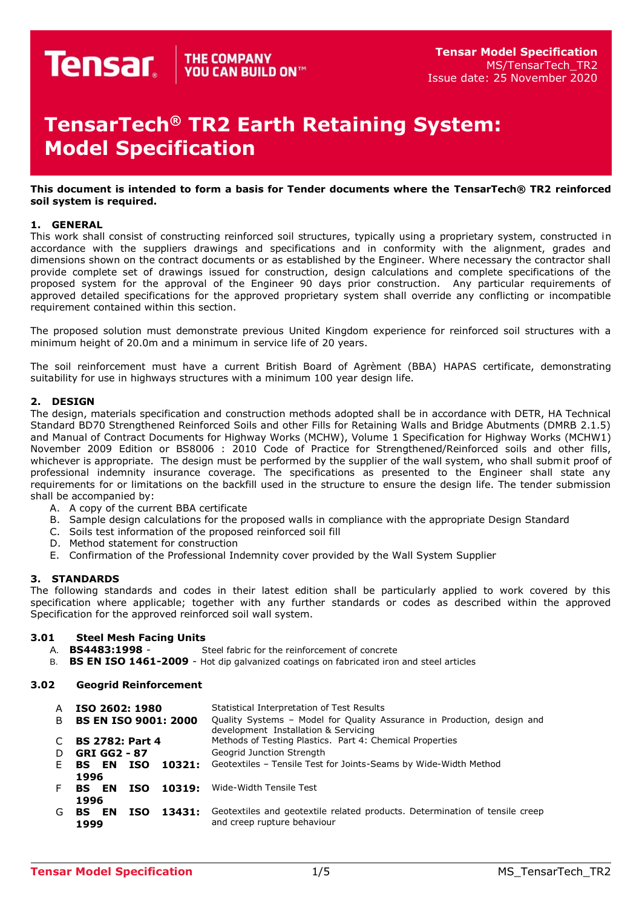# **TensarTech® TR2 Earth Retaining System: Model Specification**

#### **This document is intended to form a basis for Tender documents where the TensarTech® TR2 reinforced soil system is required.**

## **1. GENERAL**

This work shall consist of constructing reinforced soil structures, typically using a proprietary system, constructed in accordance with the suppliers drawings and specifications and in conformity with the alignment, grades and dimensions shown on the contract documents or as established by the Engineer. Where necessary the contractor shall provide complete set of drawings issued for construction, design calculations and complete specifications of the proposed system for the approval of the Engineer 90 days prior construction. Any particular requirements of approved detailed specifications for the approved proprietary system shall override any conflicting or incompatible requirement contained within this section.

The proposed solution must demonstrate previous United Kingdom experience for reinforced soil structures with a minimum height of 20.0m and a minimum in service life of 20 years.

The soil reinforcement must have a current British Board of Agrèment (BBA) HAPAS certificate, demonstrating suitability for use in highways structures with a minimum 100 year design life.

## **2. DESIGN**

The design, materials specification and construction methods adopted shall be in accordance with DETR, HA Technical Standard BD70 Strengthened Reinforced Soils and other Fills for Retaining Walls and Bridge Abutments (DMRB 2.1.5) and Manual of Contract Documents for Highway Works (MCHW), Volume 1 Specification for Highway Works (MCHW1) November 2009 Edition or BS8006 : 2010 Code of Practice for Strengthened/Reinforced soils and other fills, whichever is appropriate. The design must be performed by the supplier of the wall system, who shall submit proof of professional indemnity insurance coverage. The specifications as presented to the Engineer shall state any requirements for or limitations on the backfill used in the structure to ensure the design life. The tender submission shall be accompanied by:

- A. A copy of the current BBA certificate
- B. Sample design calculations for the proposed walls in compliance with the appropriate Design Standard
- C. Soils test information of the proposed reinforced soil fill
- D. Method statement for construction
- E. Confirmation of the Professional Indemnity cover provided by the Wall System Supplier

## **3. STANDARDS**

The following standards and codes in their latest edition shall be particularly applied to work covered by this specification where applicable; together with any further standards or codes as described within the approved Specification for the approved reinforced soil wall system.

# **3.01 Steel Mesh Facing Units**

- Steel fabric for the reinforcement of concrete
- B. **BS EN ISO 1461-2009** Hot dip galvanized coatings on fabricated iron and steel articles

## **3.02 Geogrid Reinforcement**

| A  | ISO 2602: 1980                                | Statistical Interpretation of Test Results                                                                      |  |  |
|----|-----------------------------------------------|-----------------------------------------------------------------------------------------------------------------|--|--|
|    | B BS EN ISO 9001: 2000                        | Quality Systems – Model for Quality Assurance in Production, design and<br>development Installation & Servicing |  |  |
| C  | <b>BS 2782: Part 4</b>                        | Methods of Testing Plastics. Part 4: Chemical Properties                                                        |  |  |
| D  | GRI GG2 - 87                                  | Geogrid Junction Strength                                                                                       |  |  |
| E. | <b>BS EN</b><br>10321:<br>ISO                 | Geotextiles - Tensile Test for Joints-Seams by Wide-Width Method                                                |  |  |
|    | 1996<br>F BS EN<br>10319:<br>ISO              | Wide-Width Tensile Test                                                                                         |  |  |
| G. | 1996<br>13431:<br><b>BS EN</b><br>ISO<br>1999 | Geotextiles and geotextile related products. Determination of tensile creep<br>and creep rupture behaviour      |  |  |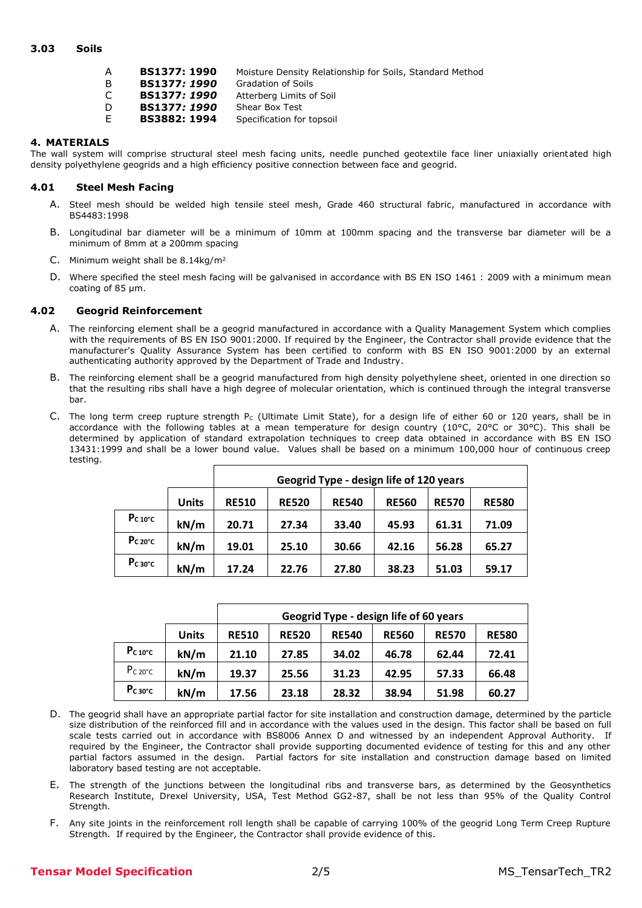### **3.03 Soils**

| A  | <b>BS1377: 1990</b> | Moisture Density Relationship for Soils, Standard Method |
|----|---------------------|----------------------------------------------------------|
| B  | BS1377: 1990        | <b>Gradation of Soils</b>                                |
| C. | BS1377: 1990        | Atterberg Limits of Soil                                 |
| D. | BS1377: 1990        | Shear Box Test                                           |
| F. | <b>BS3882: 1994</b> | Specification for topsoil                                |
|    |                     |                                                          |

## **4. MATERIALS**

The wall system will comprise structural steel mesh facing units, needle punched geotextile face liner uniaxially orientated high density polyethylene geogrids and a high efficiency positive connection between face and geogrid.

## **4.01 Steel Mesh Facing**

- A. Steel mesh should be welded high tensile steel mesh, Grade 460 structural fabric, manufactured in accordance with BS4483:1998
- B. Longitudinal bar diameter will be a minimum of 10mm at 100mm spacing and the transverse bar diameter will be a minimum of 8mm at a 200mm spacing
- C. Minimum weight shall be 8.14kg/m<sup>2</sup>
- D. Where specified the steel mesh facing will be galvanised in accordance with BS EN ISO 1461 : 2009 with a minimum mean coating of 85 µm.

#### **4.02 Geogrid Reinforcement**

- A. The reinforcing element shall be a geogrid manufactured in accordance with a Quality Management System which complies with the requirements of BS EN ISO 9001:2000. If required by the Engineer, the Contractor shall provide evidence that the manufacturer's Quality Assurance System has been certified to conform with BS EN ISO 9001:2000 by an external authenticating authority approved by the Department of Trade and Industry.
- B. The reinforcing element shall be a geogrid manufactured from high density polyethylene sheet, oriented in one direction so that the resulting ribs shall have a high degree of molecular orientation, which is continued through the integral transverse bar.
- C. The long term creep rupture strength Pc (Ultimate Limit State), for a design life of either 60 or 120 years, shall be in accordance with the following tables at a mean temperature for design country (10°C, 20°C or 30°C). This shall be determined by application of standard extrapolation techniques to creep data obtained in accordance with BS EN ISO 13431:1999 and shall be a lower bound value. Values shall be based on a minimum 100,000 hour of continuous creep testing.

|                     |              | Geogrid Type - design life of 120 years |              |              |              |              |              |
|---------------------|--------------|-----------------------------------------|--------------|--------------|--------------|--------------|--------------|
|                     | <b>Units</b> | <b>RE510</b>                            | <b>RE520</b> | <b>RE540</b> | <b>RE560</b> | <b>RE570</b> | <b>RE580</b> |
| $P_{C 10^{\circ}C}$ | kN/m         | 20.71                                   | 27.34        | 33.40        | 45.93        | 61.31        | 71.09        |
| $Pc 20^{\circ}c$    | kN/m         | 19.01                                   | 25.10        | 30.66        | 42.16        | 56.28        | 65.27        |
| $P_{C}$ 30°C        | kN/m         | 17.24                                   | 22.76        | 27.80        | 38.23        | 51.03        | 59.17        |

|                     |              | Geogrid Type - design life of 60 years |              |              |              |              |              |
|---------------------|--------------|----------------------------------------|--------------|--------------|--------------|--------------|--------------|
|                     | <b>Units</b> | <b>RE510</b>                           | <b>RE520</b> | <b>RE540</b> | <b>RE560</b> | <b>RE570</b> | <b>RE580</b> |
| $P_{C 10^{\circ}C}$ | kN/m         | 21.10                                  | 27.85        | 34.02        | 46.78        | 62.44        | 72.41        |
| $P_{C,20^{\circ}C}$ | kN/m         | 19.37                                  | 25.56        | 31.23        | 42.95        | 57.33        | 66.48        |
| $P_{C}$ 30°C        | kN/m         | 17.56                                  | 23.18        | 28.32        | 38.94        | 51.98        | 60.27        |

- D. The geogrid shall have an appropriate partial factor for site installation and construction damage, determined by the particle size distribution of the reinforced fill and in accordance with the values used in the design. This factor shall be based on full scale tests carried out in accordance with BS8006 Annex D and witnessed by an independent Approval Authority. If required by the Engineer, the Contractor shall provide supporting documented evidence of testing for this and any other partial factors assumed in the design. Partial factors for site installation and construction damage based on limited laboratory based testing are not acceptable.
- E. The strength of the junctions between the longitudinal ribs and transverse bars, as determined by the Geosynthetics Research Institute, Drexel University, USA, Test Method GG2-87, shall be not less than 95% of the Quality Control Strength.
- F. Any site joints in the reinforcement roll length shall be capable of carrying 100% of the geogrid Long Term Creep Rupture Strength. If required by the Engineer, the Contractor shall provide evidence of this.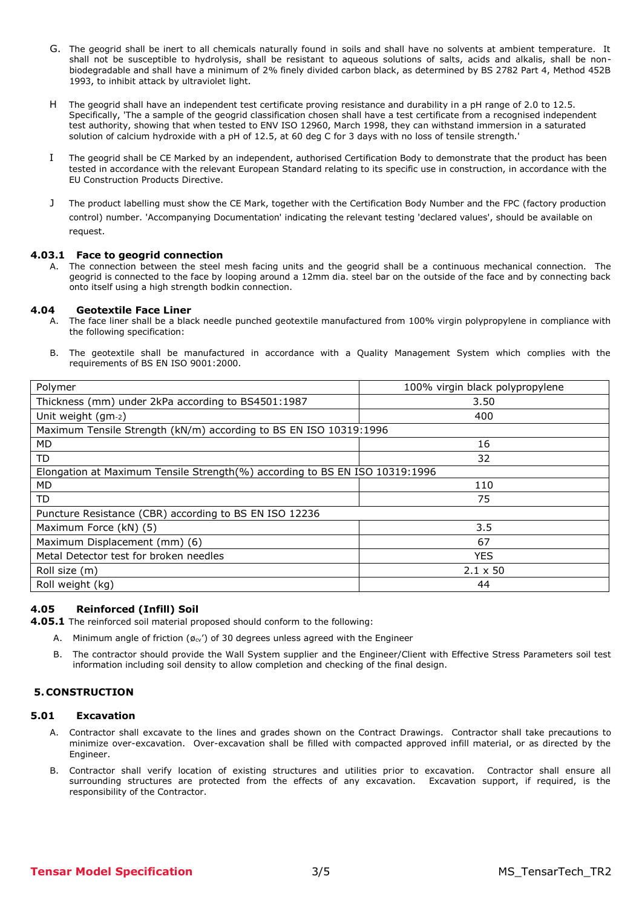- G. The geogrid shall be inert to all chemicals naturally found in soils and shall have no solvents at ambient temperature. It shall not be susceptible to hydrolysis, shall be resistant to aqueous solutions of salts, acids and alkalis, shall be nonbiodegradable and shall have a minimum of 2% finely divided carbon black, as determined by BS 2782 Part 4, Method 452B 1993, to inhibit attack by ultraviolet light.
- H The geogrid shall have an independent test certificate proving resistance and durability in a pH range of 2.0 to 12.5. Specifically, 'The a sample of the geogrid classification chosen shall have a test certificate from a recognised independent test authority, showing that when tested to ENV ISO 12960, March 1998, they can withstand immersion in a saturated solution of calcium hydroxide with a pH of 12.5, at 60 deg C for 3 days with no loss of tensile strength.'
- I The geogrid shall be CE Marked by an independent, authorised Certification Body to demonstrate that the product has been tested in accordance with the relevant European Standard relating to its specific use in construction, in accordance with the EU Construction Products Directive.
- J The product labelling must show the CE Mark, together with the Certification Body Number and the FPC (factory production control) number. 'Accompanying Documentation' indicating the relevant testing 'declared values', should be available on request.

#### **4.03.1 Face to geogrid connection**

A. The connection between the steel mesh facing units and the geogrid shall be a continuous mechanical connection. The geogrid is connected to the face by looping around a 12mm dia. steel bar on the outside of the face and by connecting back onto itself using a high strength bodkin connection.

# **4.04 Geotextile Face Liner**

- A. The face liner shall be a black needle punched geotextile manufactured from 100% virgin polypropylene in compliance with the following specification:
- B. The geotextile shall be manufactured in accordance with a Quality Management System which complies with the requirements of BS EN ISO 9001:2000.

| Polymer                                                                     | 100% virgin black polypropylene |  |  |  |  |
|-----------------------------------------------------------------------------|---------------------------------|--|--|--|--|
| Thickness (mm) under 2kPa according to BS4501:1987                          | 3.50                            |  |  |  |  |
| Unit weight (gm-2)                                                          | 400                             |  |  |  |  |
| Maximum Tensile Strength (kN/m) according to BS EN ISO 10319:1996           |                                 |  |  |  |  |
| <b>MD</b>                                                                   | 16                              |  |  |  |  |
| TD                                                                          | 32                              |  |  |  |  |
| Elongation at Maximum Tensile Strength(%) according to BS EN ISO 10319:1996 |                                 |  |  |  |  |
| <b>MD</b>                                                                   | 110                             |  |  |  |  |
| TD                                                                          | 75                              |  |  |  |  |
| Puncture Resistance (CBR) according to BS EN ISO 12236                      |                                 |  |  |  |  |
| Maximum Force (kN) (5)                                                      | 3.5                             |  |  |  |  |
| Maximum Displacement (mm) (6)                                               | 67                              |  |  |  |  |
| Metal Detector test for broken needles                                      | <b>YES</b>                      |  |  |  |  |
| Roll size (m)                                                               | $2.1 \times 50$                 |  |  |  |  |
| Roll weight (kg)                                                            | 44                              |  |  |  |  |

## **4.05 Reinforced (Infill) Soil**

**4.05.1** The reinforced soil material proposed should conform to the following:

- A. Minimum angle of friction ( $\varrho_{\rm cv'}$ ) of 30 degrees unless agreed with the Engineer
- B. The contractor should provide the Wall System supplier and the Engineer/Client with Effective Stress Parameters soil test information including soil density to allow completion and checking of the final design.

## **5.CONSTRUCTION**

## **5.01 Excavation**

- A. Contractor shall excavate to the lines and grades shown on the Contract Drawings. Contractor shall take precautions to minimize over-excavation. Over-excavation shall be filled with compacted approved infill material, or as directed by the Engineer.
- B. Contractor shall verify location of existing structures and utilities prior to excavation. Contractor shall ensure all surrounding structures are protected from the effects of any excavation. Excavation support, if required, is the responsibility of the Contractor.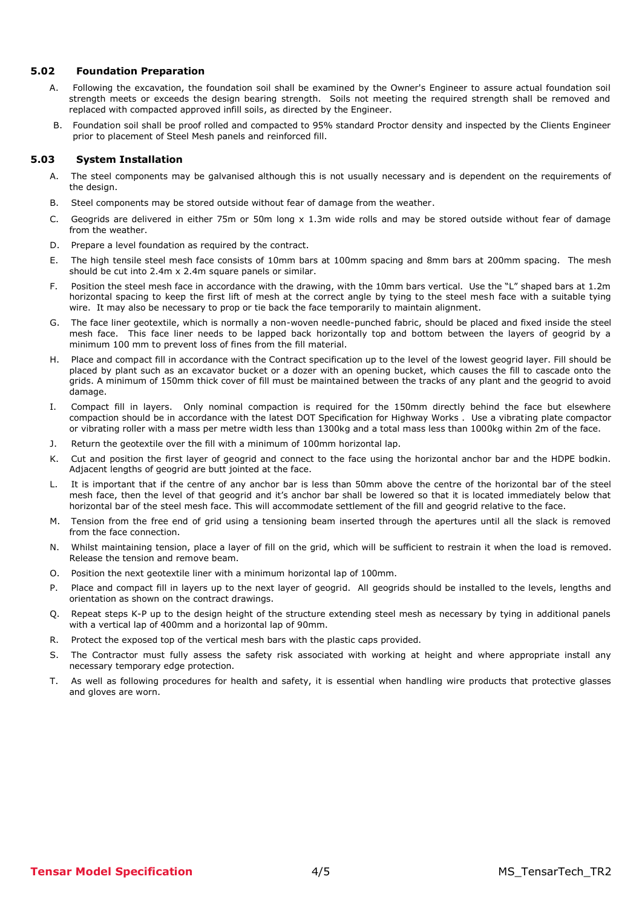#### **5.02 Foundation Preparation**

- A. Following the excavation, the foundation soil shall be examined by the Owner's Engineer to assure actual foundation soil strength meets or exceeds the design bearing strength. Soils not meeting the required strength shall be removed and replaced with compacted approved infill soils, as directed by the Engineer.
- B. Foundation soil shall be proof rolled and compacted to 95% standard Proctor density and inspected by the Clients Engineer prior to placement of Steel Mesh panels and reinforced fill.

### **5.03 System Installation**

- A. The steel components may be galvanised although this is not usually necessary and is dependent on the requirements of the design.
- B. Steel components may be stored outside without fear of damage from the weather.
- C. Geogrids are delivered in either 75m or 50m long x 1.3m wide rolls and may be stored outside without fear of damage from the weather.
- D. Prepare a level foundation as required by the contract.
- E. The high tensile steel mesh face consists of 10mm bars at 100mm spacing and 8mm bars at 200mm spacing. The mesh should be cut into 2.4m x 2.4m square panels or similar.
- F. Position the steel mesh face in accordance with the drawing, with the 10mm bars vertical. Use the "L" shaped bars at 1.2m horizontal spacing to keep the first lift of mesh at the correct angle by tying to the steel mesh face with a suitable tying wire. It may also be necessary to prop or tie back the face temporarily to maintain alignment.
- G. The face liner geotextile, which is normally a non-woven needle-punched fabric, should be placed and fixed inside the steel mesh face. This face liner needs to be lapped back horizontally top and bottom between the layers of geogrid by a minimum 100 mm to prevent loss of fines from the fill material.
- H. Place and compact fill in accordance with the Contract specification up to the level of the lowest geogrid layer. Fill should be placed by plant such as an excavator bucket or a dozer with an opening bucket, which causes the fill to cascade onto the grids. A minimum of 150mm thick cover of fill must be maintained between the tracks of any plant and the geogrid to avoid damage.
- I. Compact fill in layers. Only nominal compaction is required for the 150mm directly behind the face but elsewhere compaction should be in accordance with the latest DOT Specification for Highway Works . Use a vibrating plate compactor or vibrating roller with a mass per metre width less than 1300kg and a total mass less than 1000kg within 2m of the face.
- J. Return the geotextile over the fill with a minimum of 100mm horizontal lap.
- K. Cut and position the first layer of geogrid and connect to the face using the horizontal anchor bar and the HDPE bodkin. Adjacent lengths of geogrid are butt jointed at the face.
- L. It is important that if the centre of any anchor bar is less than 50mm above the centre of the horizontal bar of the steel mesh face, then the level of that geogrid and it's anchor bar shall be lowered so that it is located immediately below that horizontal bar of the steel mesh face. This will accommodate settlement of the fill and geogrid relative to the face.
- M. Tension from the free end of grid using a tensioning beam inserted through the apertures until all the slack is removed from the face connection.
- N. Whilst maintaining tension, place a layer of fill on the grid, which will be sufficient to restrain it when the load is removed. Release the tension and remove beam.
- O. Position the next geotextile liner with a minimum horizontal lap of 100mm.
- P. Place and compact fill in layers up to the next layer of geogrid. All geogrids should be installed to the levels, lengths and orientation as shown on the contract drawings.
- Q. Repeat steps K-P up to the design height of the structure extending steel mesh as necessary by tying in additional panels with a vertical lap of 400mm and a horizontal lap of 90mm.
- R. Protect the exposed top of the vertical mesh bars with the plastic caps provided.
- S. The Contractor must fully assess the safety risk associated with working at height and where appropriate install any necessary temporary edge protection.
- T. As well as following procedures for health and safety, it is essential when handling wire products that protective glasses and gloves are worn.